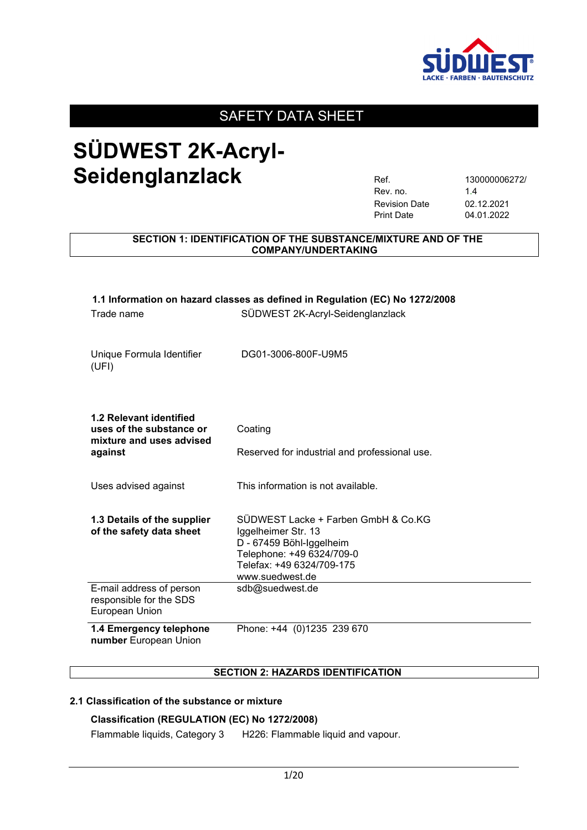

## **SÜDWEST 2K-Acryl-**Seidenglanzlack Ref. 130000006272/

| Ref.                 | 1300000062 |
|----------------------|------------|
| Rev. no.             | 14         |
| <b>Revision Date</b> | 02.12.2021 |
| <b>Print Date</b>    | 04.01.2022 |

#### **SECTION 1: IDENTIFICATION OF THE SUBSTANCE/MIXTURE AND OF THE COMPANY/UNDERTAKING**

| 1.1 Information on hazard classes as defined in Regulation (EC) No 1272/2008    |                                                            |  |
|---------------------------------------------------------------------------------|------------------------------------------------------------|--|
| Trade name                                                                      | SÜDWEST 2K-Acryl-Seidenglanzlack                           |  |
|                                                                                 |                                                            |  |
| Unique Formula Identifier<br>(UFI)                                              | DG01-3006-800F-U9M5                                        |  |
|                                                                                 |                                                            |  |
| 1.2 Relevant identified<br>uses of the substance or<br>mixture and uses advised | Coating                                                    |  |
| against                                                                         | Reserved for industrial and professional use.              |  |
| Uses advised against                                                            | This information is not available.                         |  |
| 1.3 Details of the supplier<br>of the safety data sheet                         | SÜDWEST Lacke + Farben GmbH & Co.KG<br>Iggelheimer Str. 13 |  |
|                                                                                 | D - 67459 Böhl-Iggelheim                                   |  |
|                                                                                 | Telephone: +49 6324/709-0                                  |  |
|                                                                                 | Telefax: +49 6324/709-175                                  |  |
|                                                                                 | www.suedwest.de                                            |  |
| E-mail address of person<br>responsible for the SDS<br>European Union           | sdb@suedwest.de                                            |  |
| 1.4 Emergency telephone<br>number European Union                                | Phone: +44 (0)1235 239 670                                 |  |

#### **SECTION 2: HAZARDS IDENTIFICATION**

#### **2.1 Classification of the substance or mixture**

#### **Classification (REGULATION (EC) No 1272/2008)**

Flammable liquids, Category 3 H226: Flammable liquid and vapour.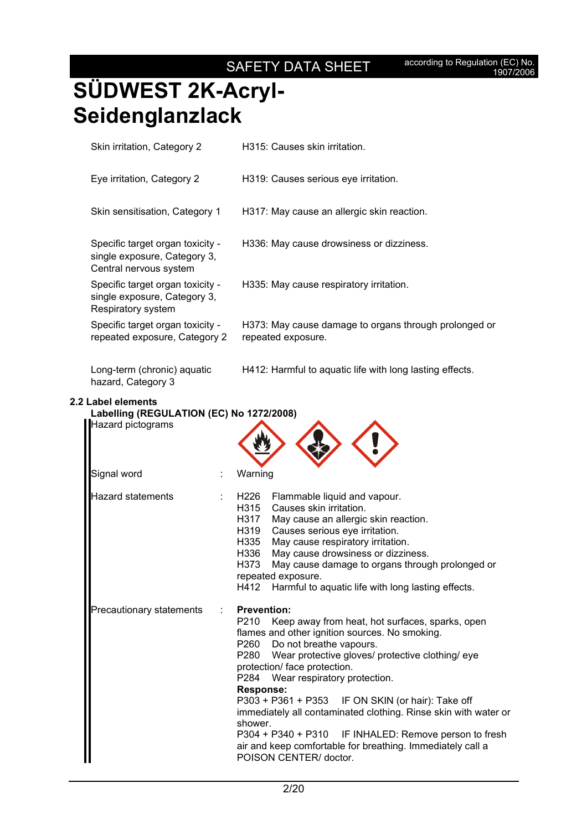# **SÜDWEST 2K-Acryl-Seidenglanzlack**

| Skin irritation, Category 2                                                                | H315: Causes skin irritation.                                               |
|--------------------------------------------------------------------------------------------|-----------------------------------------------------------------------------|
| Eye irritation, Category 2                                                                 | H319: Causes serious eye irritation.                                        |
| Skin sensitisation, Category 1                                                             | H317: May cause an allergic skin reaction.                                  |
| Specific target organ toxicity -<br>single exposure, Category 3,<br>Central nervous system | H336: May cause drowsiness or dizziness.                                    |
| Specific target organ toxicity -<br>single exposure, Category 3,<br>Respiratory system     | H335: May cause respiratory irritation.                                     |
| Specific target organ toxicity -<br>repeated exposure, Category 2                          | H373: May cause damage to organs through prolonged or<br>repeated exposure. |
| Long-term (chronic) aquatic<br>hazard, Category 3                                          | H412: Harmful to aquatic life with long lasting effects.                    |
| Label elements                                                                             |                                                                             |

#### **2.2 Label elements**

| Labelling (REGULATION (EC) No 1272/2008) |                                                                                                                                                                                                                                                                                                                                                                                                                                                                                                                                                                                                       |
|------------------------------------------|-------------------------------------------------------------------------------------------------------------------------------------------------------------------------------------------------------------------------------------------------------------------------------------------------------------------------------------------------------------------------------------------------------------------------------------------------------------------------------------------------------------------------------------------------------------------------------------------------------|
| Hazard pictograms                        |                                                                                                                                                                                                                                                                                                                                                                                                                                                                                                                                                                                                       |
| Signal word                              | Warning                                                                                                                                                                                                                                                                                                                                                                                                                                                                                                                                                                                               |
| Hazard statements                        | H <sub>226</sub><br>Flammable liquid and vapour.<br>H315 Causes skin irritation.<br>H317<br>May cause an allergic skin reaction.<br>H319 Causes serious eye irritation.<br>H335<br>May cause respiratory irritation.<br>May cause drowsiness or dizziness.<br>H336<br>H373<br>May cause damage to organs through prolonged or<br>repeated exposure.<br>H412<br>Harmful to aquatic life with long lasting effects.                                                                                                                                                                                     |
| Precautionary statements                 | <b>Prevention:</b><br>P210<br>Keep away from heat, hot surfaces, sparks, open<br>flames and other ignition sources. No smoking.<br>P260 Do not breathe vapours.<br>P280 Wear protective gloves/ protective clothing/ eye<br>protection/ face protection.<br>P284 Wear respiratory protection.<br><b>Response:</b><br>P303 + P361 + P353 IF ON SKIN (or hair): Take off<br>immediately all contaminated clothing. Rinse skin with water or<br>shower.<br>P304 + P340 + P310 IF INHALED: Remove person to fresh<br>air and keep comfortable for breathing. Immediately call a<br>POISON CENTER/ doctor. |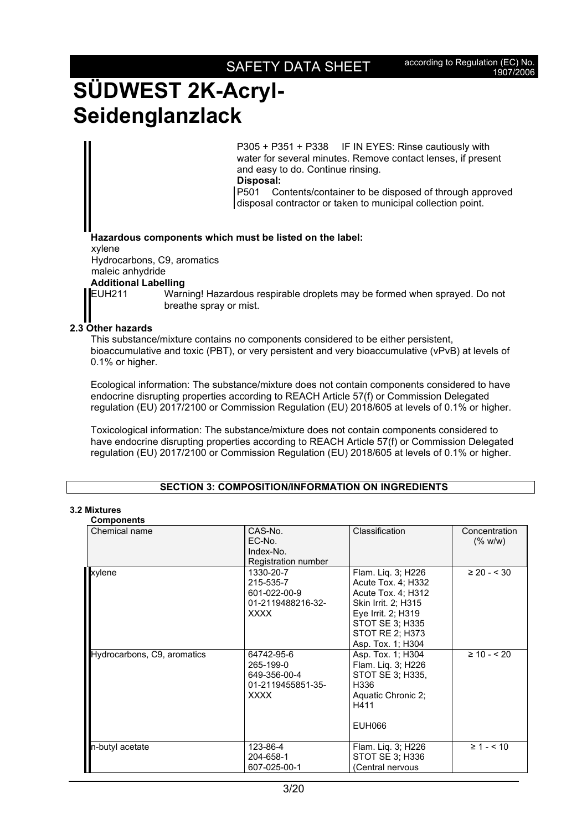### SAFETY DATA SHEET according to Regulation (EC) No.

## **SÜDWEST 2K-Acryl-Seidenglanzlack**

P305 + P351 + P338 IF IN EYES: Rinse cautiously with water for several minutes. Remove contact lenses, if present and easy to do. Continue rinsing. **Disposal:**  P501 Contents/container to be disposed of through approved

disposal contractor or taken to municipal collection point.

**Hazardous components which must be listed on the label:** 

xylene

Hydrocarbons, C9, aromatics

#### maleic anhydride **Additional Labelling**

EUH211 Warning! Hazardous respirable droplets may be formed when sprayed. Do not breathe spray or mist.

### **2.3 Other hazards**

This substance/mixture contains no components considered to be either persistent, bioaccumulative and toxic (PBT), or very persistent and very bioaccumulative (vPvB) at levels of 0.1% or higher.

Ecological information: The substance/mixture does not contain components considered to have endocrine disrupting properties according to REACH Article 57(f) or Commission Delegated regulation (EU) 2017/2100 or Commission Regulation (EU) 2018/605 at levels of 0.1% or higher.

Toxicological information: The substance/mixture does not contain components considered to have endocrine disrupting properties according to REACH Article 57(f) or Commission Delegated regulation (EU) 2017/2100 or Commission Regulation (EU) 2018/605 at levels of 0.1% or higher.

### **SECTION 3: COMPOSITION/INFORMATION ON INGREDIENTS**

#### **3.2 Mixtures Components**

| Chemical name               | CAS-No.             | Classification      | Concentration   |
|-----------------------------|---------------------|---------------------|-----------------|
|                             | EC-No.              |                     | (% w/w)         |
|                             | Index-No.           |                     |                 |
|                             | Registration number |                     |                 |
| xylene                      | 1330-20-7           | Flam. Liq. 3; H226  | $\geq 20 - 30$  |
|                             | 215-535-7           | Acute Tox. 4; H332  |                 |
|                             | 601-022-00-9        | Acute Tox. 4: H312  |                 |
|                             | 01-2119488216-32-   | Skin Irrit. 2; H315 |                 |
|                             | <b>XXXX</b>         | Eye Irrit. 2; H319  |                 |
|                             |                     | STOT SE 3; H335     |                 |
|                             |                     | STOT RE 2; H373     |                 |
|                             |                     | Asp. Tox. 1; H304   |                 |
| Hydrocarbons, C9, aromatics | 64742-95-6          | Asp. Tox. 1; H304   | $\geq 10 - 520$ |
|                             | 265-199-0           | Flam. Lig. 3; H226  |                 |
|                             | 649-356-00-4        | STOT SE 3: H335.    |                 |
|                             | 01-2119455851-35-   | H336                |                 |
|                             | <b>XXXX</b>         | Aquatic Chronic 2;  |                 |
|                             |                     | H411                |                 |
|                             |                     | EUH066              |                 |
| n-butyl acetate             | 123-86-4            | Flam. Liq. 3; H226  | $\geq 1 - 510$  |
|                             | 204-658-1           | STOT SE 3; H336     |                 |
|                             | 607-025-00-1        | (Central nervous    |                 |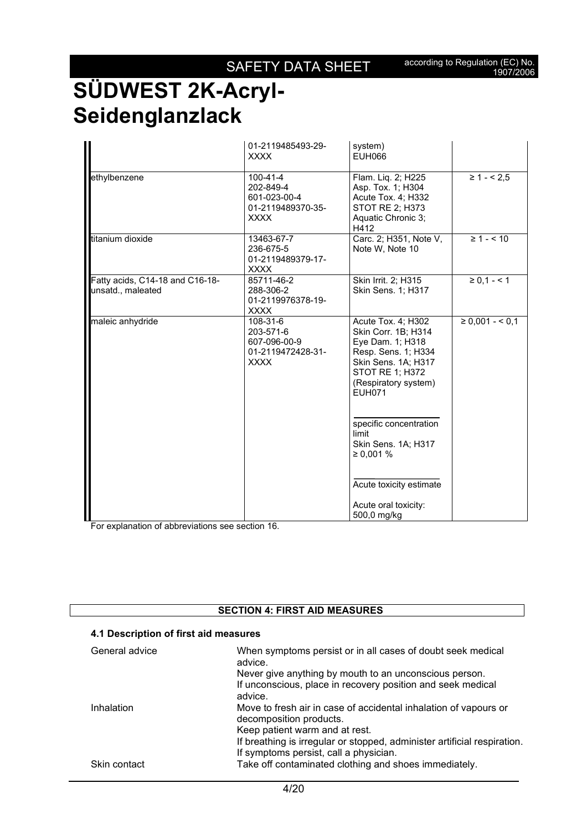|                                                      | 01-2119485493-29-<br><b>XXXX</b>                                          | system)<br><b>EUH066</b>                                                                                                                                                       |                     |
|------------------------------------------------------|---------------------------------------------------------------------------|--------------------------------------------------------------------------------------------------------------------------------------------------------------------------------|---------------------|
| ethylbenzene                                         | 100-41-4<br>202-849-4<br>601-023-00-4<br>01-2119489370-35-<br><b>XXXX</b> | Flam. Liq. 2; H225<br>Asp. Tox. 1; H304<br>Acute Tox. 4; H332<br>STOT RE 2; H373<br>Aquatic Chronic 3;<br>H412                                                                 | $\geq 1 - 5.5$      |
| titanium dioxide                                     | 13463-67-7<br>236-675-5<br>01-2119489379-17-<br><b>XXXX</b>               | Carc. 2; H351, Note V,<br>Note W, Note 10                                                                                                                                      | $\geq 1 - 510$      |
| Fatty acids, C14-18 and C16-18-<br>unsatd., maleated | 85711-46-2<br>288-306-2<br>01-2119976378-19-<br><b>XXXX</b>               | Skin Irrit. 2; H315<br>Skin Sens. 1; H317                                                                                                                                      | $\ge 0.1 - 1$       |
| maleic anhydride                                     | 108-31-6<br>203-571-6<br>607-096-00-9<br>01-2119472428-31-<br><b>XXXX</b> | Acute Tox. 4; H302<br>Skin Corr. 1B; H314<br>Eye Dam. 1; H318<br>Resp. Sens. 1; H334<br>Skin Sens. 1A; H317<br><b>STOT RE 1; H372</b><br>(Respiratory system)<br><b>EUH071</b> | $\geq 0.001 - 5.01$ |
|                                                      |                                                                           | specific concentration<br>limit<br>Skin Sens. 1A; H317<br>≥ 0,001%                                                                                                             |                     |
|                                                      |                                                                           | Acute toxicity estimate<br>Acute oral toxicity:<br>500,0 mg/kg                                                                                                                 |                     |

For explanation of abbreviations see section 16.

### **SECTION 4: FIRST AID MEASURES**

| 4.1 Description of first ald measures |                                                                                             |
|---------------------------------------|---------------------------------------------------------------------------------------------|
| General advice                        | When symptoms persist or in all cases of doubt seek medical<br>advice.                      |
|                                       | Never give anything by mouth to an unconscious person.                                      |
|                                       | If unconscious, place in recovery position and seek medical<br>advice.                      |
| Inhalation                            | Move to fresh air in case of accidental inhalation of vapours or<br>decomposition products. |
|                                       | Keep patient warm and at rest.                                                              |
|                                       | If breathing is irregular or stopped, administer artificial respiration.                    |
|                                       | If symptoms persist, call a physician.                                                      |
| Skin contact                          | Take off contaminated clothing and shoes immediately.                                       |
|                                       |                                                                                             |

### **4.1 Description of first aid measures**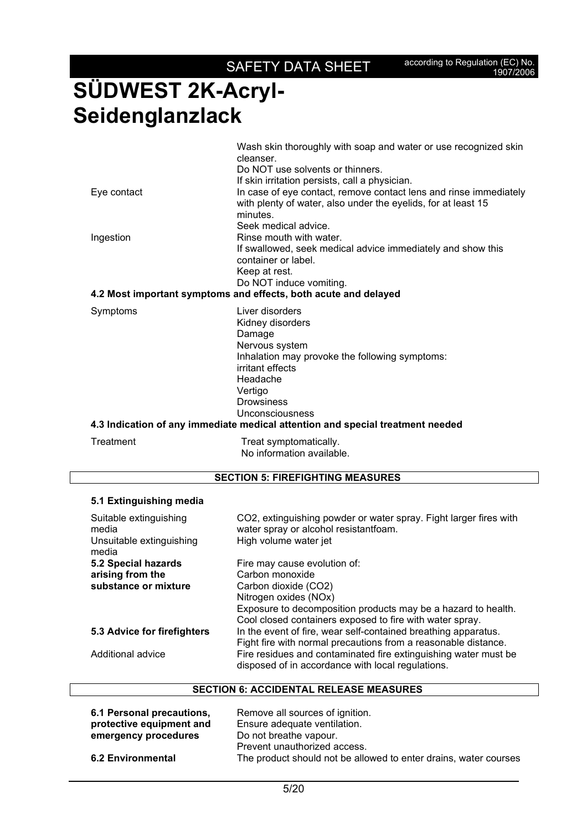|             | Wash skin thoroughly with soap and water or use recognized skin                                                                                |
|-------------|------------------------------------------------------------------------------------------------------------------------------------------------|
|             | cleanser.                                                                                                                                      |
|             | Do NOT use solvents or thinners.                                                                                                               |
|             | If skin irritation persists, call a physician.                                                                                                 |
| Eye contact | In case of eye contact, remove contact lens and rinse immediately<br>with plenty of water, also under the eyelids, for at least 15<br>minutes. |
|             | Seek medical advice.                                                                                                                           |
| Ingestion   | Rinse mouth with water.                                                                                                                        |
|             | If swallowed, seek medical advice immediately and show this<br>container or label.                                                             |
|             | Keep at rest.                                                                                                                                  |
|             | Do NOT induce vomiting.                                                                                                                        |
|             | 4.2 Most important symptoms and effects, both acute and delayed                                                                                |
| Symptoms    | Liver disorders<br>Kidney disorders<br>Damage                                                                                                  |
|             | Nervous system<br>Inhalation may provoke the following symptoms:<br>irritant effects                                                           |
|             | Headache                                                                                                                                       |
|             |                                                                                                                                                |
|             | Vertigo<br><b>Drowsiness</b>                                                                                                                   |
|             | Unconsciousness                                                                                                                                |
|             | 4.3 Indication of any immediate medical attention and special treatment needed                                                                 |
|             |                                                                                                                                                |
| Treatment   | Treat symptomatically.                                                                                                                         |

No information available.

#### **SECTION 5: FIREFIGHTING MEASURES**

### **5.1 Extinguishing media**

| Suitable extinguishing<br>media<br>Unsuitable extinguishing<br>media | CO2, extinguishing powder or water spray. Fight larger fires with<br>water spray or alcohol resistantfoam.<br>High volume water jet |
|----------------------------------------------------------------------|-------------------------------------------------------------------------------------------------------------------------------------|
| 5.2 Special hazards                                                  | Fire may cause evolution of:                                                                                                        |
| arising from the                                                     | Carbon monoxide                                                                                                                     |
| substance or mixture                                                 | Carbon dioxide (CO2)                                                                                                                |
|                                                                      | Nitrogen oxides (NOx)                                                                                                               |
|                                                                      | Exposure to decomposition products may be a hazard to health.                                                                       |
|                                                                      | Cool closed containers exposed to fire with water spray.                                                                            |
| 5.3 Advice for firefighters                                          | In the event of fire, wear self-contained breathing apparatus.<br>Fight fire with normal precautions from a reasonable distance.    |
| Additional advice                                                    | Fire residues and contaminated fire extinguishing water must be<br>disposed of in accordance with local regulations.                |

### **SECTION 6: ACCIDENTAL RELEASE MEASURES**

| 6.1 Personal precautions, | Remove all sources of ignition.                                  |
|---------------------------|------------------------------------------------------------------|
| protective equipment and  | Ensure adequate ventilation.                                     |
| emergency procedures      | Do not breathe vapour.                                           |
|                           | Prevent unauthorized access.                                     |
| <b>6.2 Environmental</b>  | The product should not be allowed to enter drains, water courses |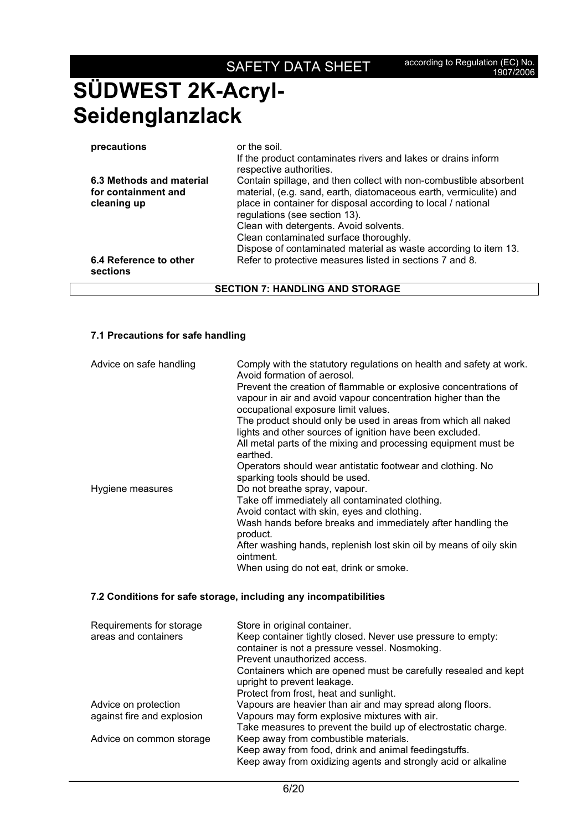| precautions                                                    | or the soil.<br>If the product contaminates rivers and lakes or drains inform<br>respective authorities.                                                                                                                                                                                                                                                                                        |
|----------------------------------------------------------------|-------------------------------------------------------------------------------------------------------------------------------------------------------------------------------------------------------------------------------------------------------------------------------------------------------------------------------------------------------------------------------------------------|
| 6.3 Methods and material<br>for containment and<br>cleaning up | Contain spillage, and then collect with non-combustible absorbent<br>material, (e.g. sand, earth, diatomaceous earth, vermiculite) and<br>place in container for disposal according to local / national<br>regulations (see section 13).<br>Clean with detergents. Avoid solvents.<br>Clean contaminated surface thoroughly.<br>Dispose of contaminated material as waste according to item 13. |
| 6.4 Reference to other<br>sections                             | Refer to protective measures listed in sections 7 and 8.                                                                                                                                                                                                                                                                                                                                        |

### **SECTION 7: HANDLING AND STORAGE**

#### **7.1 Precautions for safe handling**

| Advice on safe handling | Comply with the statutory regulations on health and safety at work.<br>Avoid formation of aerosol.                                                                      |
|-------------------------|-------------------------------------------------------------------------------------------------------------------------------------------------------------------------|
|                         | Prevent the creation of flammable or explosive concentrations of<br>vapour in air and avoid vapour concentration higher than the<br>occupational exposure limit values. |
|                         | The product should only be used in areas from which all naked<br>lights and other sources of ignition have been excluded.                                               |
|                         | All metal parts of the mixing and processing equipment must be<br>earthed.                                                                                              |
|                         | Operators should wear antistatic footwear and clothing. No<br>sparking tools should be used.                                                                            |
| Hygiene measures        | Do not breathe spray, vapour.                                                                                                                                           |
|                         | Take off immediately all contaminated clothing.                                                                                                                         |
|                         | Avoid contact with skin, eyes and clothing.                                                                                                                             |
|                         | Wash hands before breaks and immediately after handling the                                                                                                             |
|                         | product.                                                                                                                                                                |
|                         | After washing hands, replenish lost skin oil by means of oily skin<br>ointment.                                                                                         |
|                         | When using do not eat, drink or smoke.                                                                                                                                  |

#### **7.2 Conditions for safe storage, including any incompatibilities**

| Requirements for storage<br>areas and containers   | Store in original container.<br>Keep container tightly closed. Never use pressure to empty:<br>container is not a pressure vessel. Nosmoking.<br>Prevent unauthorized access.<br>Containers which are opened must be carefully resealed and kept<br>upright to prevent leakage.<br>Protect from frost, heat and sunlight. |
|----------------------------------------------------|---------------------------------------------------------------------------------------------------------------------------------------------------------------------------------------------------------------------------------------------------------------------------------------------------------------------------|
| Advice on protection<br>against fire and explosion | Vapours are heavier than air and may spread along floors.<br>Vapours may form explosive mixtures with air.                                                                                                                                                                                                                |
| Advice on common storage                           | Take measures to prevent the build up of electrostatic charge.<br>Keep away from combustible materials.<br>Keep away from food, drink and animal feedingstuffs.<br>Keep away from oxidizing agents and strongly acid or alkaline                                                                                          |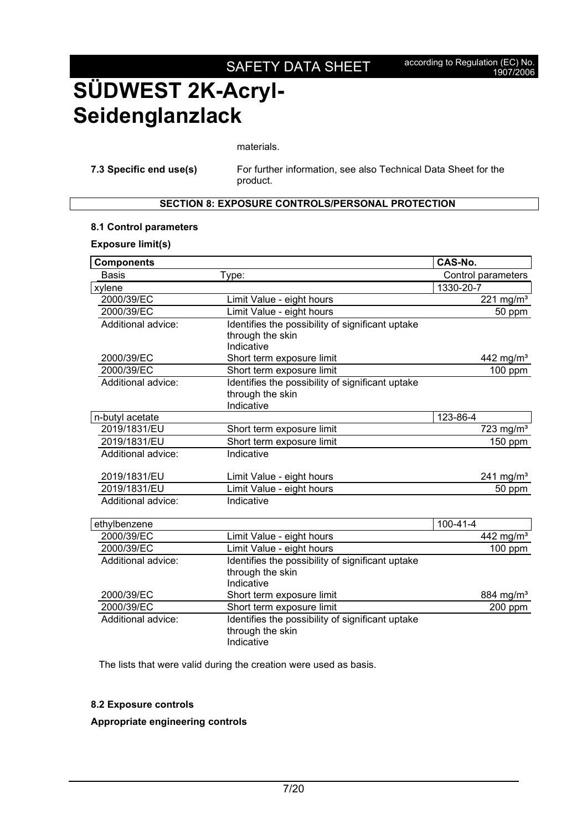materials.

**7.3 Specific end use(s)** For further information, see also Technical Data Sheet for the product.

### **SECTION 8: EXPOSURE CONTROLS/PERSONAL PROTECTION**

#### **8.1 Control parameters**

#### **Exposure limit(s)**

| <b>Components</b>  |                                                                                    | CAS-No.               |
|--------------------|------------------------------------------------------------------------------------|-----------------------|
| <b>Basis</b>       | Type:                                                                              | Control parameters    |
| xylene             |                                                                                    | 1330-20-7             |
| 2000/39/EC         | Limit Value - eight hours                                                          | 221 mg/m <sup>3</sup> |
| 2000/39/EC         | Limit Value - eight hours                                                          | 50 ppm                |
| Additional advice: | Identifies the possibility of significant uptake<br>through the skin<br>Indicative |                       |
| 2000/39/EC         | Short term exposure limit                                                          | 442 mg/m <sup>3</sup> |
| 2000/39/EC         | Short term exposure limit                                                          | $100$ ppm             |
| Additional advice: | Identifies the possibility of significant uptake<br>through the skin<br>Indicative |                       |
| n-butyl acetate    |                                                                                    | 123-86-4              |
| 2019/1831/EU       | Short term exposure limit                                                          | 723 mg/ $m3$          |
| 2019/1831/EU       | Short term exposure limit                                                          | $150$ ppm             |
| Additional advice: | Indicative                                                                         |                       |
| 2019/1831/EU       | Limit Value - eight hours                                                          | 241 mg/ $m3$          |
| 2019/1831/EU       | Limit Value - eight hours                                                          | 50 ppm                |
| Additional advice: | Indicative                                                                         |                       |
| ethylbenzene       |                                                                                    | $100 - 41 - 4$        |
| 2000/39/EC         | Limit Value - eight hours                                                          | 442 mg/ $m3$          |
| 2000/39/EC         | Limit Value - eight hours                                                          | 100 ppm               |
| Additional advice: | Identifies the possibility of significant uptake<br>through the skin<br>Indicative |                       |
| 2000/39/EC         | Short term exposure limit                                                          | 884 mg/m <sup>3</sup> |
| 2000/39/EC         | Short term exposure limit                                                          | 200 ppm               |
| Additional advice: | Identifies the possibility of significant uptake<br>through the skin<br>Indicative |                       |

The lists that were valid during the creation were used as basis.

#### **8.2 Exposure controls**

#### **Appropriate engineering controls**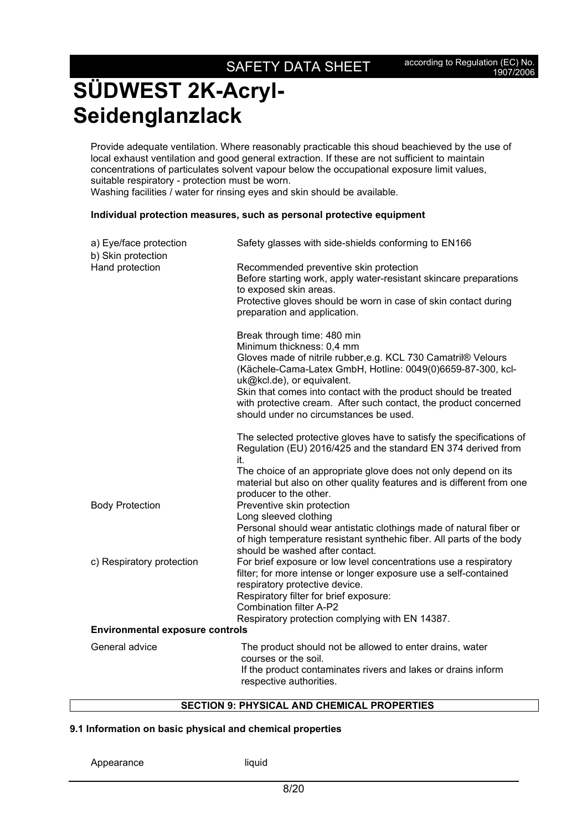Provide adequate ventilation. Where reasonably practicable this shoud beachieved by the use of local exhaust ventilation and good general extraction. If these are not sufficient to maintain concentrations of particulates solvent vapour below the occupational exposure limit values, suitable respiratory - protection must be worn. Washing facilities / water for rinsing eyes and skin should be available.

#### **Individual protection measures, such as personal protective equipment**

| a) Eye/face protection<br>b) Skin protection | Safety glasses with side-shields conforming to EN166                                                                                                                                                                                     |  |
|----------------------------------------------|------------------------------------------------------------------------------------------------------------------------------------------------------------------------------------------------------------------------------------------|--|
| Hand protection                              | Recommended preventive skin protection<br>Before starting work, apply water-resistant skincare preparations<br>to exposed skin areas.<br>Protective gloves should be worn in case of skin contact during<br>preparation and application. |  |
|                                              | Break through time: 480 min<br>Minimum thickness: 0,4 mm<br>Gloves made of nitrile rubber, e.g. KCL 730 Camatril® Velours<br>(Kächele-Cama-Latex GmbH, Hotline: 0049(0)6659-87-300, kcl-<br>uk@kcl.de), or equivalent.                   |  |
|                                              | Skin that comes into contact with the product should be treated<br>with protective cream. After such contact, the product concerned<br>should under no circumstances be used.                                                            |  |
|                                              | The selected protective gloves have to satisfy the specifications of<br>Regulation (EU) 2016/425 and the standard EN 374 derived from<br>it.                                                                                             |  |
|                                              | The choice of an appropriate glove does not only depend on its<br>material but also on other quality features and is different from one<br>producer to the other.                                                                        |  |
| <b>Body Protection</b>                       | Preventive skin protection<br>Long sleeved clothing                                                                                                                                                                                      |  |
|                                              | Personal should wear antistatic clothings made of natural fiber or<br>of high temperature resistant synthehic fiber. All parts of the body<br>should be washed after contact.                                                            |  |
| c) Respiratory protection                    | For brief exposure or low level concentrations use a respiratory<br>filter; for more intense or longer exposure use a self-contained<br>respiratory protective device.                                                                   |  |
|                                              | Respiratory filter for brief exposure:                                                                                                                                                                                                   |  |
|                                              | <b>Combination filter A-P2</b><br>Respiratory protection complying with EN 14387.                                                                                                                                                        |  |
| <b>Environmental exposure controls</b>       |                                                                                                                                                                                                                                          |  |
| General advice                               | The product should not be allowed to enter drains, water<br>courses or the soil.<br>If the product contaminates rivers and lakes or drains inform                                                                                        |  |
|                                              | respective authorities.                                                                                                                                                                                                                  |  |

#### **SECTION 9: PHYSICAL AND CHEMICAL PROPERTIES**

#### **9.1 Information on basic physical and chemical properties**

```
Appearance liquid
```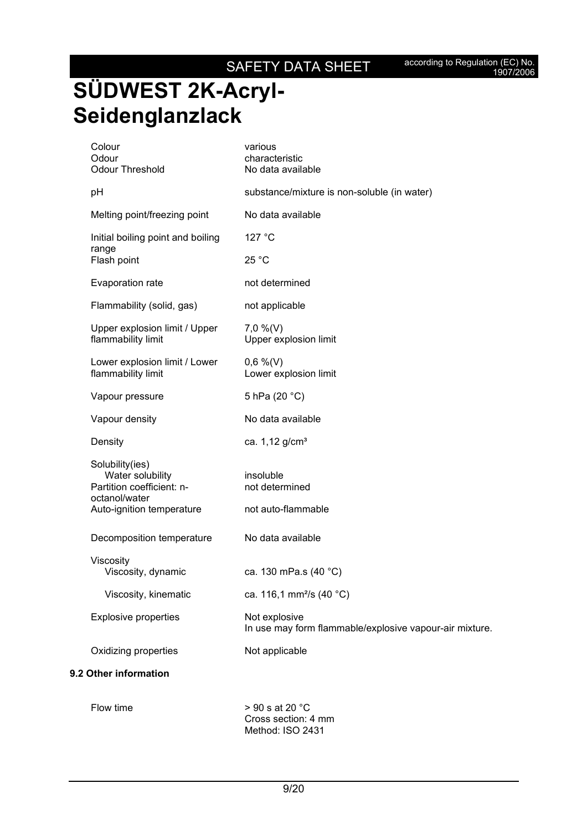according to Regulation (EC) No.<br>1907/2006

# **SÜDWEST 2K-Acryl-Seidenglanzlack**

| Colour<br>Odour<br><b>Odour Threshold</b>                                                                      | various<br>characteristic<br>No data available                           |
|----------------------------------------------------------------------------------------------------------------|--------------------------------------------------------------------------|
| pH                                                                                                             | substance/mixture is non-soluble (in water)                              |
| Melting point/freezing point                                                                                   | No data available                                                        |
| Initial boiling point and boiling<br>range                                                                     | 127 °C                                                                   |
| Flash point                                                                                                    | 25 °C                                                                    |
| Evaporation rate                                                                                               | not determined                                                           |
| Flammability (solid, gas)                                                                                      | not applicable                                                           |
| Upper explosion limit / Upper<br>flammability limit                                                            | $7,0\%$ (V)<br>Upper explosion limit                                     |
| Lower explosion limit / Lower<br>flammability limit                                                            | $0,6\%$ (V)<br>Lower explosion limit                                     |
| Vapour pressure                                                                                                | 5 hPa (20 °C)                                                            |
| Vapour density                                                                                                 | No data available                                                        |
| Density                                                                                                        | ca. 1,12 g/cm <sup>3</sup>                                               |
| Solubility(ies)<br>Water solubility<br>Partition coefficient: n-<br>octanol/water<br>Auto-ignition temperature | insoluble<br>not determined<br>not auto-flammable                        |
| Decomposition temperature                                                                                      | No data available                                                        |
| Viscosity<br>Viscosity, dynamic                                                                                | ca. 130 mPa.s (40 °C)                                                    |
| Viscosity, kinematic                                                                                           | ca. 116,1 mm <sup>2</sup> /s (40 °C)                                     |
| <b>Explosive properties</b>                                                                                    | Not explosive<br>In use may form flammable/explosive vapour-air mixture. |
| Oxidizing properties                                                                                           | Not applicable                                                           |
| 9.2 Other information                                                                                          |                                                                          |

Flow time  $> 90$  s at 20  $^{\circ}$ C Cross section: 4 mm Method: ISO 2431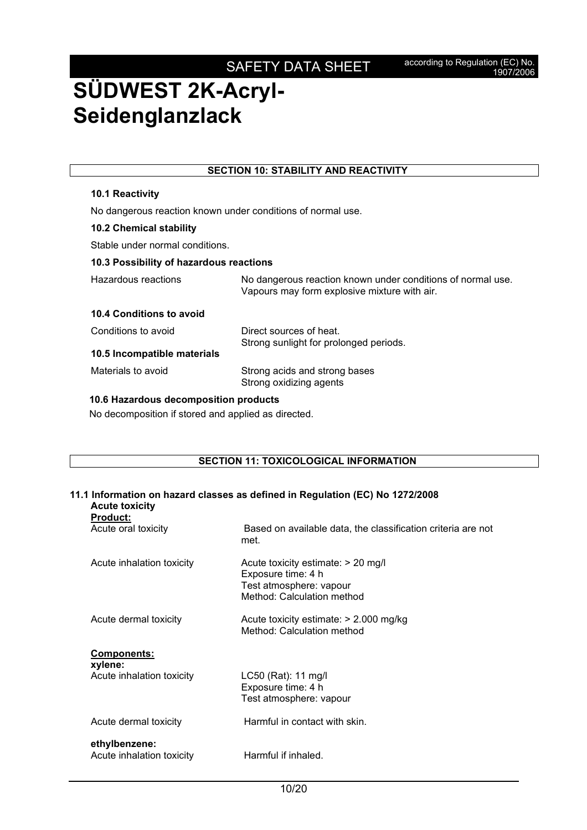| <b>SECTION 10: STABILITY AND REACTIVITY</b>         |                                                                                                             |  |
|-----------------------------------------------------|-------------------------------------------------------------------------------------------------------------|--|
| <b>10.1 Reactivity</b>                              |                                                                                                             |  |
|                                                     | No dangerous reaction known under conditions of normal use.                                                 |  |
| <b>10.2 Chemical stability</b>                      |                                                                                                             |  |
| Stable under normal conditions.                     |                                                                                                             |  |
| 10.3 Possibility of hazardous reactions             |                                                                                                             |  |
| Hazardous reactions                                 | No dangerous reaction known under conditions of normal use.<br>Vapours may form explosive mixture with air. |  |
| 10.4 Conditions to avoid                            |                                                                                                             |  |
| Conditions to avoid                                 | Direct sources of heat.<br>Strong sunlight for prolonged periods.                                           |  |
| 10.5 Incompatible materials                         |                                                                                                             |  |
| Materials to avoid                                  | Strong acids and strong bases<br>Strong oxidizing agents                                                    |  |
| 10.6 Hazardous decomposition products               |                                                                                                             |  |
| No decomposition if stored and applied as directed. |                                                                                                             |  |

#### **SECTION 11: TOXICOLOGICAL INFORMATION**

### **11.1 Information on hazard classes as defined in Regulation (EC) No 1272/2008 Acute toxicity Product:**  Acute oral toxicity **Based on available data, the classification criteria are not** met. Acute inhalation toxicity Acute toxicity estimate: > 20 mg/l Exposure time: 4 h Test atmosphere: vapour Method: Calculation method Acute dermal toxicity Acute toxicity estimate: > 2.000 mg/kg Method: Calculation method **Components: xylene:**  Acute inhalation toxicity LC50 (Rat): 11 mg/l

Exposure time: 4 h Test atmosphere: vapour Acute dermal toxicity **Harmful in contact with skin.** 

#### **ethylbenzene:**  Acute inhalation toxicity **Harmful if inhaled.**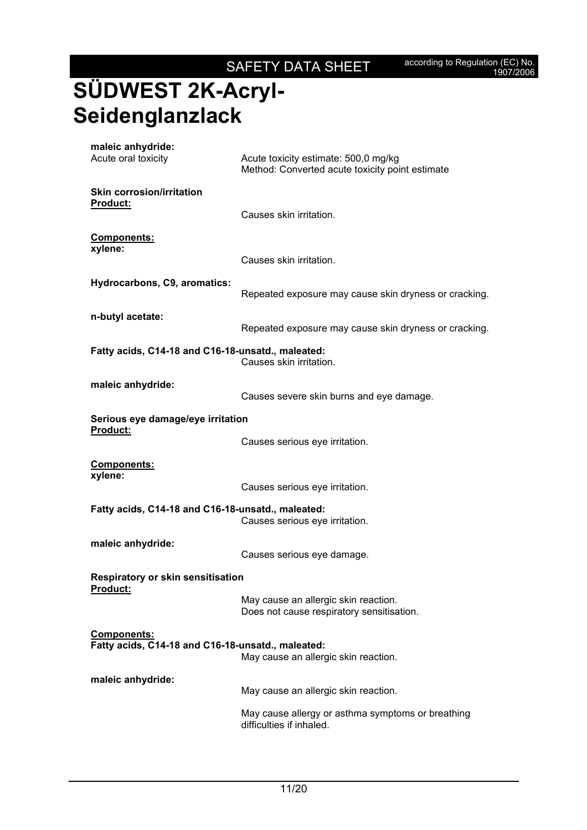# **SÜDWEST 2K-Acryl-Seidenglanzlack**

| maleic anhydride:<br>Acute oral toxicity                                | Acute toxicity estimate: 500,0 mg/kg<br>Method: Converted acute toxicity point estimate |  |
|-------------------------------------------------------------------------|-----------------------------------------------------------------------------------------|--|
| <b>Skin corrosion/irritation</b><br>Product:                            | Causes skin irritation.                                                                 |  |
| <b>Components:</b><br>xylene:                                           | Causes skin irritation.                                                                 |  |
| Hydrocarbons, C9, aromatics:                                            | Repeated exposure may cause skin dryness or cracking.                                   |  |
| n-butyl acetate:                                                        | Repeated exposure may cause skin dryness or cracking.                                   |  |
| Fatty acids, C14-18 and C16-18-unsatd., maleated:                       | Causes skin irritation.                                                                 |  |
| maleic anhydride:                                                       | Causes severe skin burns and eye damage.                                                |  |
| Serious eye damage/eye irritation<br>Product:                           | Causes serious eye irritation.                                                          |  |
| Components:<br>xylene:                                                  | Causes serious eye irritation.                                                          |  |
| Fatty acids, C14-18 and C16-18-unsatd., maleated:                       | Causes serious eye irritation.                                                          |  |
| maleic anhydride:                                                       | Causes serious eye damage.                                                              |  |
| <b>Respiratory or skin sensitisation</b><br>Product:                    | May cause an allergic skin reaction.<br>Does not cause respiratory sensitisation.       |  |
| <b>Components:</b><br>Fatty acids, C14-18 and C16-18-unsatd., maleated: | May cause an allergic skin reaction.                                                    |  |
| maleic anhydride:                                                       | May cause an allergic skin reaction.                                                    |  |
|                                                                         | May cause allergy or asthma symptoms or breathing<br>difficulties if inhaled.           |  |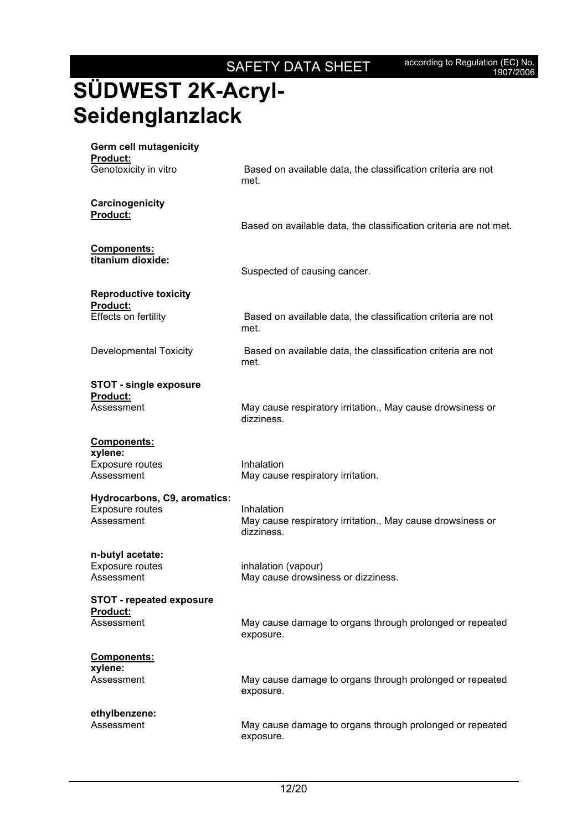# **SÜDWEST 2K-Acryl-Seidenglanzlack**

| <b>Germ cell mutagenicity</b><br><b>Product:</b><br>Genotoxicity in vitro | Based on available data, the classification criteria are not             |
|---------------------------------------------------------------------------|--------------------------------------------------------------------------|
|                                                                           | met.                                                                     |
| Carcinogenicity<br>Product:                                               | Based on available data, the classification criteria are not met.        |
| Components:                                                               |                                                                          |
| titanium dioxide:                                                         | Suspected of causing cancer.                                             |
| <b>Reproductive toxicity</b><br><b>Product:</b>                           |                                                                          |
| Effects on fertility                                                      | Based on available data, the classification criteria are not<br>met.     |
| <b>Developmental Toxicity</b>                                             | Based on available data, the classification criteria are not<br>met.     |
| <b>STOT - single exposure</b><br><b>Product:</b>                          |                                                                          |
| Assessment                                                                | May cause respiratory irritation., May cause drowsiness or<br>dizziness. |
| <b>Components:</b><br>xylene:                                             |                                                                          |
| Exposure routes<br>Assessment                                             | Inhalation<br>May cause respiratory irritation.                          |
| Hydrocarbons, C9, aromatics:<br><b>Exposure routes</b>                    | Inhalation                                                               |
| Assessment                                                                | May cause respiratory irritation., May cause drowsiness or<br>dizziness. |
| n-butyl acetate:<br>Exposure routes                                       | inhalation (vapour)                                                      |
| Assessment                                                                | May cause drowsiness or dizziness.                                       |
| <b>STOT - repeated exposure</b><br>Product:                               |                                                                          |
| Assessment                                                                | May cause damage to organs through prolonged or repeated<br>exposure.    |
| Components:<br>xylene:                                                    |                                                                          |
| Assessment                                                                | May cause damage to organs through prolonged or repeated<br>exposure.    |
| ethylbenzene:<br>Assessment                                               | May cause damage to organs through prolonged or repeated<br>exposure.    |
|                                                                           |                                                                          |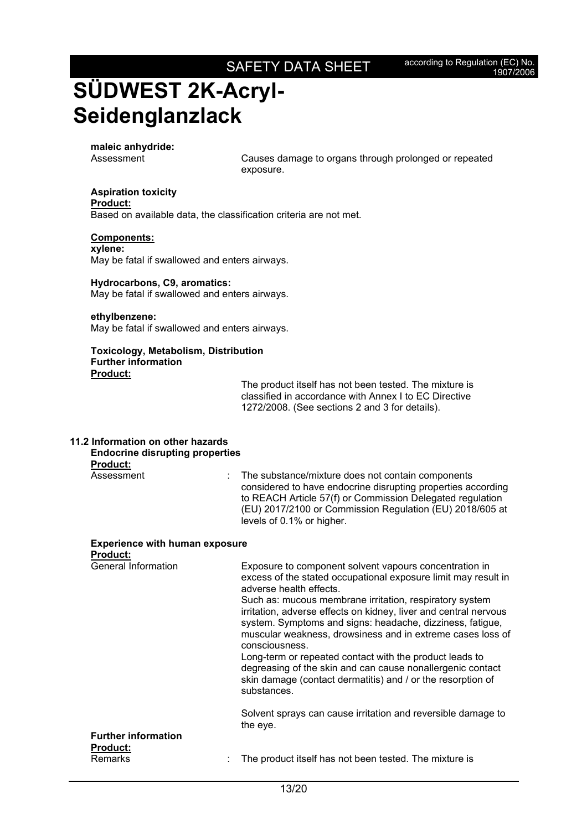**maleic anhydride:** 

Assessment Causes damage to organs through prolonged or repeated exposure.

#### **Aspiration toxicity Product:**

Based on available data, the classification criteria are not met.

#### **Components:**

**xylene:**  May be fatal if swallowed and enters airways.

#### **Hydrocarbons, C9, aromatics:**  May be fatal if swallowed and enters airways.

#### **ethylbenzene:**

May be fatal if swallowed and enters airways.

#### **Toxicology, Metabolism, Distribution Further information Product:**

The product itself has not been tested. The mixture is classified in accordance with Annex I to EC Directive 1272/2008. (See sections 2 and 3 for details).

#### **11.2 Information on other hazards Endocrine disrupting properties Product:**

Assessment : The substance/mixture does not contain components considered to have endocrine disrupting properties according to REACH Article 57(f) or Commission Delegated regulation (EU) 2017/2100 or Commission Regulation (EU) 2018/605 at levels of 0.1% or higher.

#### **Experience with human exposure Product:**

| <b>General Information</b>                    | Exposure to component solvent vapours concentration in<br>excess of the stated occupational exposure limit may result in<br>adverse health effects.                                                                                                                      |
|-----------------------------------------------|--------------------------------------------------------------------------------------------------------------------------------------------------------------------------------------------------------------------------------------------------------------------------|
|                                               | Such as: mucous membrane irritation, respiratory system<br>irritation, adverse effects on kidney, liver and central nervous<br>system. Symptoms and signs: headache, dizziness, fatigue,<br>muscular weakness, drowsiness and in extreme cases loss of<br>consciousness. |
|                                               | Long-term or repeated contact with the product leads to<br>degreasing of the skin and can cause nonallergenic contact<br>skin damage (contact dermatitis) and / or the resorption of<br>substances.                                                                      |
|                                               | Solvent sprays can cause irritation and reversible damage to<br>the eye.                                                                                                                                                                                                 |
| <b>Further information</b><br><b>Product:</b> |                                                                                                                                                                                                                                                                          |
| <b>Remarks</b>                                | The product itself has not been tested. The mixture is                                                                                                                                                                                                                   |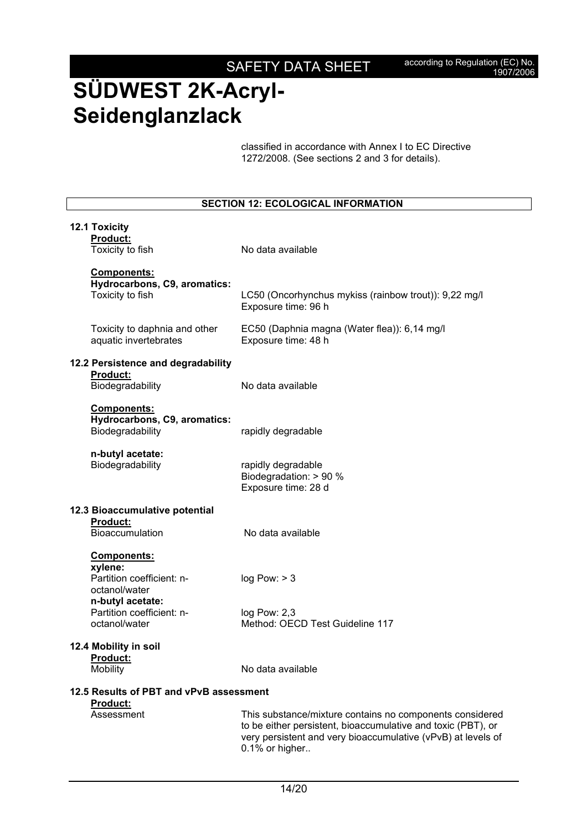classified in accordance with Annex I to EC Directive 1272/2008. (See sections 2 and 3 for details).

| <b>SECTION 12: ECOLOGICAL INFORMATION</b>                       |                                                                                                                                                                                                            |  |  |
|-----------------------------------------------------------------|------------------------------------------------------------------------------------------------------------------------------------------------------------------------------------------------------------|--|--|
| <b>12.1 Toxicity</b><br>Product:                                |                                                                                                                                                                                                            |  |  |
| Toxicity to fish                                                | No data available                                                                                                                                                                                          |  |  |
| Components:<br>Hydrocarbons, C9, aromatics:<br>Toxicity to fish | LC50 (Oncorhynchus mykiss (rainbow trout)): 9,22 mg/l<br>Exposure time: 96 h                                                                                                                               |  |  |
| Toxicity to daphnia and other<br>aquatic invertebrates          | EC50 (Daphnia magna (Water flea)): 6,14 mg/l<br>Exposure time: 48 h                                                                                                                                        |  |  |
| 12.2 Persistence and degradability                              |                                                                                                                                                                                                            |  |  |
| <b>Product:</b><br>Biodegradability                             | No data available                                                                                                                                                                                          |  |  |
| Components:<br>Hydrocarbons, C9, aromatics:<br>Biodegradability | rapidly degradable                                                                                                                                                                                         |  |  |
| n-butyl acetate:<br>Biodegradability                            | rapidly degradable<br>Biodegradation: > 90 %<br>Exposure time: 28 d                                                                                                                                        |  |  |
| 12.3 Bioaccumulative potential                                  |                                                                                                                                                                                                            |  |  |
| <b>Product:</b><br><b>Bioaccumulation</b>                       | No data available                                                                                                                                                                                          |  |  |
| Components:                                                     |                                                                                                                                                                                                            |  |  |
| xylene:<br>Partition coefficient: n-<br>octanol/water           | log Pow: > 3                                                                                                                                                                                               |  |  |
| n-butyl acetate:<br>Partition coefficient: n-<br>octanol/water  | log Pow: 2,3<br>Method: OECD Test Guideline 117                                                                                                                                                            |  |  |
| 12.4 Mobility in soil<br>Product:                               |                                                                                                                                                                                                            |  |  |
| Mobility                                                        | No data available                                                                                                                                                                                          |  |  |
| 12.5 Results of PBT and vPvB assessment<br>Product:             |                                                                                                                                                                                                            |  |  |
| Assessment                                                      | This substance/mixture contains no components considered<br>to be either persistent, bioaccumulative and toxic (PBT), or<br>very persistent and very bioaccumulative (vPvB) at levels of<br>0.1% or higher |  |  |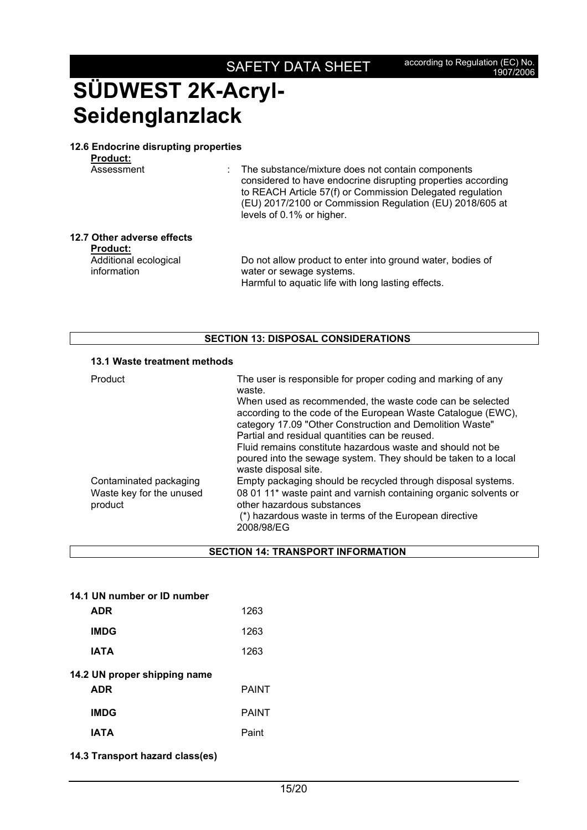#### **12.6 Endocrine disrupting properties**

**Product:** 

Assessment : The substance/mixture does not contain components considered to have endocrine disrupting properties according to REACH Article 57(f) or Commission Delegated regulation (EU) 2017/2100 or Commission Regulation (EU) 2018/605 at levels of 0.1% or higher.

### **12.7 Other adverse effects**

**Product:** 

Additional ecological information

 Do not allow product to enter into ground water, bodies of water or sewage systems. Harmful to aquatic life with long lasting effects.

### **SECTION 13: DISPOSAL CONSIDERATIONS**

### **13.1 Waste treatment methods**

| Product                             | The user is responsible for proper coding and marking of any<br>waste.                                                                                                               |
|-------------------------------------|--------------------------------------------------------------------------------------------------------------------------------------------------------------------------------------|
|                                     | When used as recommended, the waste code can be selected<br>according to the code of the European Waste Catalogue (EWC),<br>category 17.09 "Other Construction and Demolition Waste" |
|                                     | Partial and residual quantities can be reused.                                                                                                                                       |
|                                     | Fluid remains constitute hazardous waste and should not be                                                                                                                           |
|                                     | poured into the sewage system. They should be taken to a local<br>waste disposal site.                                                                                               |
| Contaminated packaging              | Empty packaging should be recycled through disposal systems.                                                                                                                         |
| Waste key for the unused<br>product | 08 01 11* waste paint and varnish containing organic solvents or<br>other hazardous substances                                                                                       |
|                                     | (*) hazardous waste in terms of the European directive<br>2008/98/EG                                                                                                                 |

**SECTION 14: TRANSPORT INFORMATION**

|  |  | 14.1 UN number or ID number |  |
|--|--|-----------------------------|--|
|  |  |                             |  |

| <b>ADR</b>                   | 1263         |
|------------------------------|--------------|
| <b>IMDG</b>                  | 1263         |
| <b>IATA</b>                  | 1263         |
| 14.2 UN proper shipping name |              |
| <b>ADR</b>                   | <b>PAINT</b> |
| <b>IMDG</b>                  | <b>PAINT</b> |
| IATA                         | Paint        |

**14.3 Transport hazard class(es)**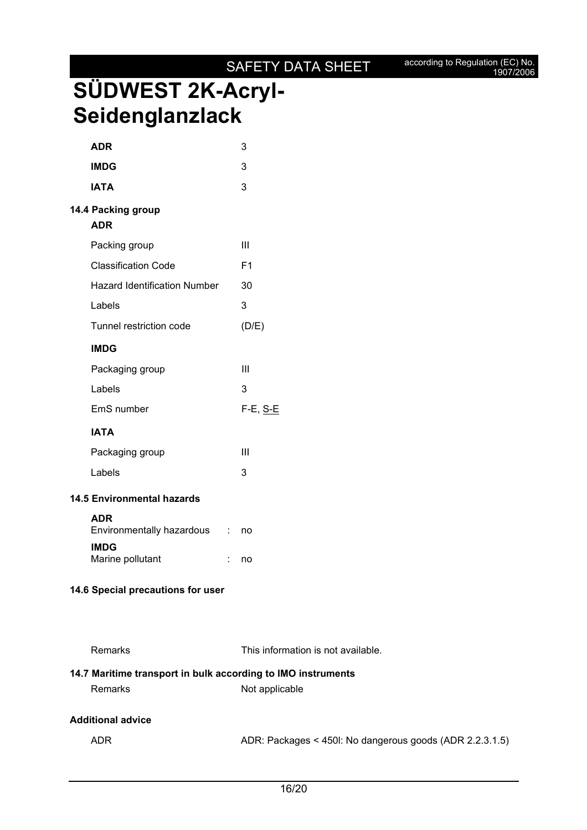### SAFETY DATA SHEET according to Regulation (EC) No.

## **SÜDWEST 2K-Acryl-Seidenglanzlack**

| <b>ADR</b>                              |            | 3              |
|-----------------------------------------|------------|----------------|
| <b>IMDG</b>                             |            | 3              |
| <b>IATA</b>                             |            | 3              |
| 14.4 Packing group<br><b>ADR</b>        |            |                |
| Packing group                           |            | Ш              |
| <b>Classification Code</b>              |            | F <sub>1</sub> |
| <b>Hazard Identification Number</b>     |            | 30             |
| Labels                                  |            | 3              |
| Tunnel restriction code                 |            | (D/E)          |
| <b>IMDG</b>                             |            |                |
| Packaging group                         |            | Ш              |
| Labels                                  |            | 3              |
| EmS number                              |            | F-E, S-E       |
| <b>IATA</b>                             |            |                |
| Packaging group                         |            | Ш              |
| Labels                                  |            | 3              |
| <b>14.5 Environmental hazards</b>       |            |                |
| <b>ADR</b><br>Environmentally hazardous | $\sim 100$ | no             |
| <b>IMDG</b><br>Marine pollutant         | t.         | no             |
| 14.6 Special precautions for user       |            |                |
|                                         |            |                |

Remarks This information is not available.

### **14.7 Maritime transport in bulk according to IMO instruments**

Remarks Not applicable

### **Additional advice**

ADR ADR: Packages < 450l: No dangerous goods (ADR 2.2.3.1.5)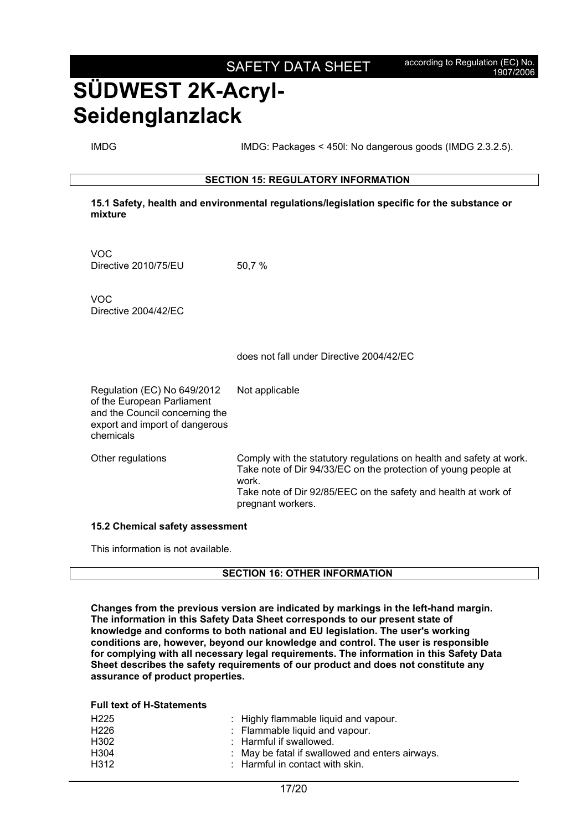IMDG IMDG: Packages < 450l: No dangerous goods (IMDG 2.3.2.5).

#### **SECTION 15: REGULATORY INFORMATION**

**15.1 Safety, health and environmental regulations/legislation specific for the substance or mixture**

VOC Directive 2010/75/EU 50.7 %

VOC Directive 2004/42/EC

does not fall under Directive 2004/42/EC

Regulation (EC) No 649/2012 of the European Parliament and the Council concerning the export and import of dangerous chemicals Not applicable

Other regulations Comply with the statutory regulations on health and safety at work. Take note of Dir 94/33/EC on the protection of young people at work. Take note of Dir 92/85/EEC on the safety and health at work of pregnant workers.

#### **15.2 Chemical safety assessment**

This information is not available.

#### **SECTION 16: OTHER INFORMATION**

**Changes from the previous version are indicated by markings in the left-hand margin. The information in this Safety Data Sheet corresponds to our present state of knowledge and conforms to both national and EU legislation. The user's working conditions are, however, beyond our knowledge and control. The user is responsible for complying with all necessary legal requirements. The information in this Safety Data Sheet describes the safety requirements of our product and does not constitute any assurance of product properties.** 

**Full text of H-Statements** 

| H <sub>225</sub> | : Highly flammable liquid and vapour.           |
|------------------|-------------------------------------------------|
| H <sub>226</sub> | : Flammable liquid and vapour.                  |
| H <sub>302</sub> | $\therefore$ Harmful if swallowed.              |
| H304             | : May be fatal if swallowed and enters airways. |
| H312             | $\therefore$ Harmful in contact with skin.      |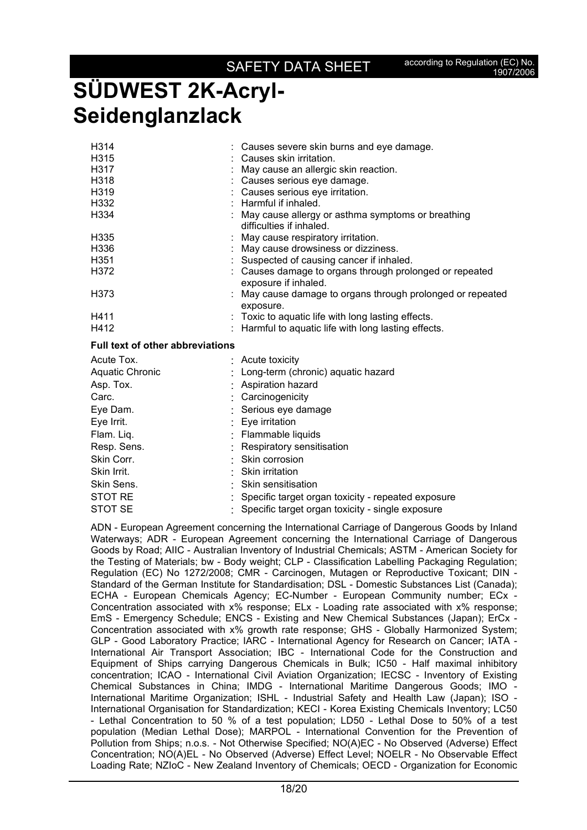| H <sub>3</sub> 14<br>H <sub>315</sub><br>H317<br>H318 |  | Causes severe skin burns and eye damage.<br>Causes skin irritation.<br>May cause an allergic skin reaction.<br>Causes serious eye damage. |  |  |  |
|-------------------------------------------------------|--|-------------------------------------------------------------------------------------------------------------------------------------------|--|--|--|
| H <sub>3</sub> 19                                     |  | Causes serious eye irritation.                                                                                                            |  |  |  |
| H332                                                  |  | Harmful if inhaled.                                                                                                                       |  |  |  |
| H334                                                  |  | May cause allergy or asthma symptoms or breathing<br>difficulties if inhaled.                                                             |  |  |  |
| H335                                                  |  | May cause respiratory irritation.                                                                                                         |  |  |  |
| H336                                                  |  | May cause drowsiness or dizziness.                                                                                                        |  |  |  |
| H351                                                  |  | Suspected of causing cancer if inhaled.                                                                                                   |  |  |  |
| H372                                                  |  | : Causes damage to organs through prolonged or repeated<br>exposure if inhaled.                                                           |  |  |  |
| H373                                                  |  | May cause damage to organs through prolonged or repeated<br>exposure.                                                                     |  |  |  |
| H411                                                  |  | Toxic to aquatic life with long lasting effects.                                                                                          |  |  |  |
| H412                                                  |  | Harmful to aquatic life with long lasting effects.                                                                                        |  |  |  |
| <b>Full text of other abbreviations</b>               |  |                                                                                                                                           |  |  |  |
| Acute Tox.                                            |  | Acute toxicity                                                                                                                            |  |  |  |
| Aquatic Chronic                                       |  | Long-term (chronic) aquatic hazard                                                                                                        |  |  |  |
| Asp. Tox.                                             |  | Aspiration hazard                                                                                                                         |  |  |  |
| Carc.                                                 |  | Carcinogenicity                                                                                                                           |  |  |  |
| Eye Dam.                                              |  | Serious eye damage                                                                                                                        |  |  |  |
| Eye Irrit.                                            |  | Eye irritation                                                                                                                            |  |  |  |
| Flam. Liq.                                            |  | Flammable liquids                                                                                                                         |  |  |  |
| Resp. Sens.                                           |  | Respiratory sensitisation                                                                                                                 |  |  |  |
| Skin Corr.                                            |  | Skin corrosion                                                                                                                            |  |  |  |
| Skin Irrit.                                           |  | Skin irritation                                                                                                                           |  |  |  |
| Skin Sens.                                            |  | Skin sensitisation                                                                                                                        |  |  |  |
| <b>STOT RE</b>                                        |  | Specific target organ toxicity - repeated exposure                                                                                        |  |  |  |

STOT SE : Specific target organ toxicity - single exposure

ADN - European Agreement concerning the International Carriage of Dangerous Goods by Inland Waterways; ADR - European Agreement concerning the International Carriage of Dangerous Goods by Road; AIIC - Australian Inventory of Industrial Chemicals; ASTM - American Society for the Testing of Materials; bw - Body weight; CLP - Classification Labelling Packaging Regulation; Regulation (EC) No 1272/2008; CMR - Carcinogen, Mutagen or Reproductive Toxicant; DIN - Standard of the German Institute for Standardisation; DSL - Domestic Substances List (Canada); ECHA - European Chemicals Agency; EC-Number - European Community number; ECx - Concentration associated with x% response; ELx - Loading rate associated with x% response; EmS - Emergency Schedule; ENCS - Existing and New Chemical Substances (Japan); ErCx - Concentration associated with x% growth rate response; GHS - Globally Harmonized System; GLP - Good Laboratory Practice; IARC - International Agency for Research on Cancer; IATA - International Air Transport Association; IBC - International Code for the Construction and Equipment of Ships carrying Dangerous Chemicals in Bulk; IC50 - Half maximal inhibitory concentration; ICAO - International Civil Aviation Organization; IECSC - Inventory of Existing Chemical Substances in China; IMDG - International Maritime Dangerous Goods; IMO - International Maritime Organization; ISHL - Industrial Safety and Health Law (Japan); ISO - International Organisation for Standardization; KECI - Korea Existing Chemicals Inventory; LC50 - Lethal Concentration to 50 % of a test population; LD50 - Lethal Dose to 50% of a test population (Median Lethal Dose); MARPOL - International Convention for the Prevention of Pollution from Ships; n.o.s. - Not Otherwise Specified; NO(A)EC - No Observed (Adverse) Effect Concentration; NO(A)EL - No Observed (Adverse) Effect Level; NOELR - No Observable Effect Loading Rate; NZIoC - New Zealand Inventory of Chemicals; OECD - Organization for Economic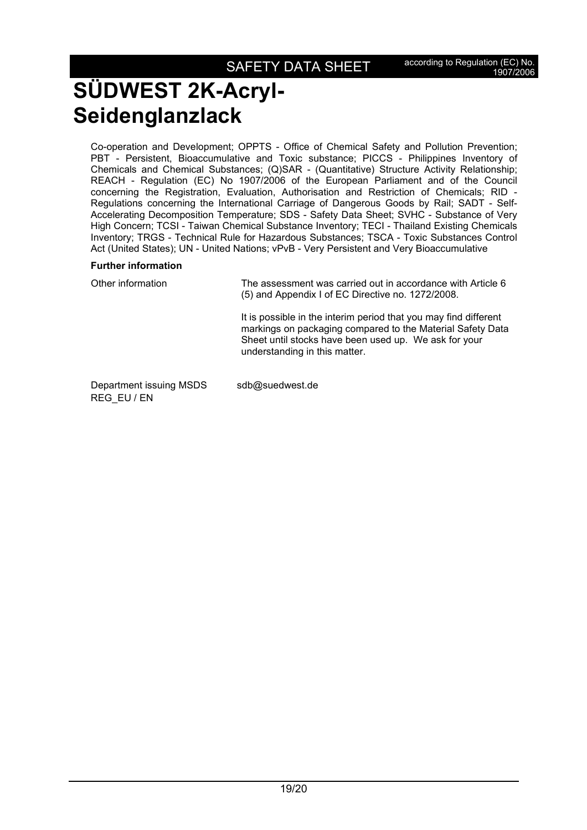Co-operation and Development; OPPTS - Office of Chemical Safety and Pollution Prevention; PBT - Persistent, Bioaccumulative and Toxic substance; PICCS - Philippines Inventory of Chemicals and Chemical Substances; (Q)SAR - (Quantitative) Structure Activity Relationship; REACH - Regulation (EC) No 1907/2006 of the European Parliament and of the Council concerning the Registration, Evaluation, Authorisation and Restriction of Chemicals; RID - Regulations concerning the International Carriage of Dangerous Goods by Rail; SADT - Self-Accelerating Decomposition Temperature; SDS - Safety Data Sheet; SVHC - Substance of Very High Concern; TCSI - Taiwan Chemical Substance Inventory; TECI - Thailand Existing Chemicals Inventory; TRGS - Technical Rule for Hazardous Substances; TSCA - Toxic Substances Control Act (United States); UN - United Nations; vPvB - Very Persistent and Very Bioaccumulative

### **Further information**

REG\_EU / EN

| Other information       | The assessment was carried out in accordance with Article 6<br>(5) and Appendix I of EC Directive no. 1272/2008.                                                                                                         |  |  |  |
|-------------------------|--------------------------------------------------------------------------------------------------------------------------------------------------------------------------------------------------------------------------|--|--|--|
|                         | It is possible in the interim period that you may find different<br>markings on packaging compared to the Material Safety Data<br>Sheet until stocks have been used up. We ask for your<br>understanding in this matter. |  |  |  |
| Department issuing MSDS | sdb@suedwest.de                                                                                                                                                                                                          |  |  |  |

19/20